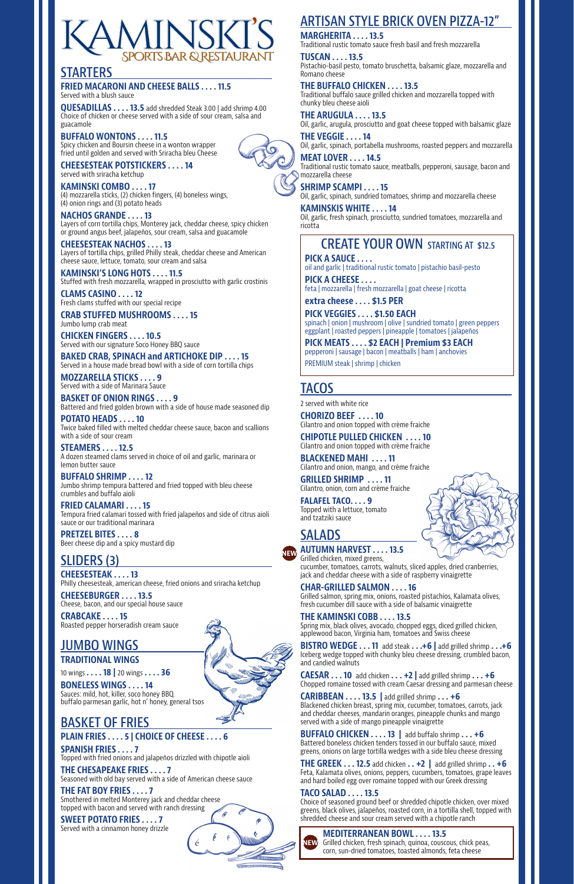# MINSK **SPORTS BAR & RESTAURANT**

## **STARTERS**

#### **FRIED MACARONI AND CHEESE BALLS . . . . 11.5**

Served with a blush sauce

**QUESADILLAS . . . . 13.5** add shredded Steak 3.00 | add shrimp 4.00 Choice of chicken or cheese served with a side of sour cream, salsa and guacamole

#### **BUFFALO WONTONS . . . . 11.5**

Spicy chicken and Boursin cheese in a wonton wrapper fried until golden and served with Sriracha bleu Cheese

**CHEESESTEAK POTSTICKERS . . . . 14** served with sriracha ketchup

**KAMINSKI COMBO . . . . 17** (4) mozzarella sticks, (2) chicken fingers, (4) boneless wings, (4) onion rings and (3) potato heads

**NACHOS GRANDE . . . . 13** Layers of corn tortilla chips, Monterey jack, cheddar cheese, spicy chicken or ground angus beef, jalapeños, sour cream, salsa and guacamole

**CHEESESTEAK NACHOS . . . . 13** Layers of tortilla chips, grilled Philly steak, cheddar cheese and American cheese sauce, lettuce, tomato, sour cream and salsa

**KAMINSKI'S LONG HOTS . . . . 11.5** Stuffed with fresh mozzarella, wrapped in prosciutto with garlic crostinis

**CLAMS CASINO . . . . 12** Fresh clams stuffed with our special recipe

**CRAB STUFFED MUSHROOMS . . . . 15** Jumbo lump crab meat

**CHICKEN FINGERS . . . . 10.5** Served with our signature Soco Honey BBQ sauce

**BAKED CRAB, SPINACH and ARTICHOKE DIP . . . . 15** Served in a house made bread bowl with a side of corn tortilla chips

#### **MOZZARELLA STICKS . . . . 9** Served with a side of Marinara Sauce

**BASKET OF ONION RINGS . . . . 9** Battered and fried golden brown with a side of house made seasoned dip

**POTATO HEADS . . . . 10** Twice baked filled with melted cheddar cheese sauce, bacon and scallions with a side of sour cream

**STEAMERS . . . . 12.5** A dozen steamed clams served in choice of oil and garlic, marinara or lemon butter sauce

**BUFFALO SHRIMP . . . . 12** Jumbo shrimp tempura battered and fried topped with bleu cheese crumbles and buffalo aioli

**FRIED CALAMARI . . . . 15** Tempura fried calamari tossed with fried jalapeños and side of citrus aioli sauce or our traditional marinara

**PRETZEL BITES . . . . 8** Beer cheese dip and a spicy mustard dip

## **SLIDERS (3)**

**CHEESESTEAK . . . . 13** Philly cheesesteak, american cheese, fried onions and sriracha ketchup

**CHEESEBURGER . . . . 13.5** Cheese, bacon, and our special house sauce

**CRABCAKE . . . . 15** Roasted pepper horseradish cream sauce

### **JUMBO WINGS TRADITIONAL WINGS**

10 wings **. . . . 18 |** 20 wings **. . . . 36 BONELESS WINGS . . . . 14**

Sauces: mild, hot, killer, soco honey BBQ, buffalo parmesan garlic, hot n' honey, general tsos

## **BASKET OF FRIES**

### **PLAIN FRIES . . . . 5 | CHOICE OF CHEESE . . . . 6**

#### **SPANISH FRIES . . . . 7**

Topped with fried onions and jalapeños drizzled with chipotle aioli

#### **THE CHESAPEAKE FRIES . . . . 7**

Seasoned with old bay served with a side of American cheese sauce

#### **THE FAT BOY FRIES . . . . 7**

Smothered in melted Monterey jack and cheddar cheese topped with bacon and served with ranch dressing

#### **SWEET POTATO FRIES . . . . 7**

Served with a cinnamon honey drizzle



#### **MARGHERITA . . . . 13.5**

Traditional rustic tomato sauce fresh basil and fresh mozzarella

**TUSCAN . . . . 13.5** Pistachio-basil pesto, tomato bruschetta, balsamic glaze, mozzarella and Romano cheese

#### **THE BUFFALO CHICKEN . . . . 13.5**

Traditional buffalo sauce grilled chicken and mozzarella topped with chunky bleu cheese aioli

**THE ARUGULA . . . . 13.5** Oil, garlic, arugula, prosciutto and goat cheese topped with balsamic glaze

**THE VEGGIE . . . . 14** Oil, garlic, spinach, portabella mushrooms, roasted peppers and mozzarella

**MEAT LOVER . . . . 14.5** Traditional rustic tomato sauce, meatballs, pepperoni, sausage, bacon and mozzarella cheese

**SHRIMP SCAMPI . . . . 15** Oil, garlic, spinach, sundried tomatoes, shrimp and mozzarella cheese

**KAMINSKIS WHITE . . . . 14**  Oil, garlic, fresh spinach, prosciutto, sundried tomatoes, mozzarella and ricotta

## **TACOS**

2 served with white rice

**CHORIZO BEEF . . . . 10** Cilantro and onion topped with crème fraiche

**CHIPOTLE PULLED CHICKEN . . . . 10** Cilantro and onion topped with crème fraiche

**BLACKENED MAHI . . . . 11** Cilantro and onion, mango, and crème fraiche

**GRILLED SHRIMP . . . . 11** Cilantro, onion, corn and crème fraiche

**FALAFEL TACO. . . . 9** Topped with a lettuce, tomato and tzatziki sauce

**SALADS** 

#### **AUTUMN HARVEST . . . . 13.5**

Grilled chicken, mixed greens, cucumber, tomatoes, carrots, walnuts, sliced apples, dried cranberries, jack and cheddar cheese with a side of raspberry vinaigrette

**CHAR-GRILLED SALMON . . . . 16**

Grilled salmon, spring mix, onions, roasted pistachios, Kalamata olives, fresh cucumber dill sauce with a side of balsamic vinaigrette

**THE KAMINSKI COBB . . . . 13.5** Spring mix, black olives, avocado, chopped eggs, diced grilled chicken, applewood bacon, Virginia ham, tomatoes and Swiss cheese





**BISTRO WEDGE . . . 11** add steak **. . .+6 |** add grilled shrimp **. . .+6** Iceberg wedge topped with chunky bleu cheese dressing, crumbled bacon, and candied walnuts

**CAESAR . . . 10** add chicken **. . . +2 |** add grilled shrimp **. . . +6** Chopped romaine tossed with cream Caesar dressing and parmesan cheese

**CARIBBEAN . . . . 13.5 |** add grilled shrimp **. . . +6** Blackened chicken breast, spring mix, cucumber, tomatoes, carrots, jack and cheddar cheeses, mandarin oranges, pineapple chunks and mango served with a side of mango pineapple vinaigrette

**BUFFALO CHICKEN . . . . 13 |** add buffalo shrimp **. . . +6** Battered boneless chicken tenders tossed in our buffalo sauce, mixed greens, onions on large tortilla wedges with a side bleu cheese dressing

**THE GREEK . . . 12.5** add chicken **. . +2 |** add grilled shrimp **. . +6** Feta, Kalamata olives, onions, peppers, cucumbers, tomatoes, grape leaves and hard boiled egg over romaine topped with our Greek dressing

#### **TACO SALAD . . . . 13.5**

Choice of seasoned ground beef or shredded chipotle chicken, over mixed greens, black olives, jalapeños, roasted corn, in a tortilla shell, topped with shredded cheese and sour cream served with a chipotle ranch



Grilled chicken, fresh spinach, quinoa, couscous, chick peas, corn, sun-dried tomatoes, toasted almonds, feta cheese

## **CREATE YOUR OWN STARTING AT \$12.5**

**PICK A SAUCE . . . .**  oil and garlic | traditional rustic tomato | pistachio basil-pesto **PICK A CHEESE . . . .** 

feta | mozzarella | fresh mozzarella | goat cheese | ricotta

**extra cheese . . . . \$1.5 PER**

**PICK VEGGIES . . . . \$1.50 EACH** spinach | onion | mushroom | olive | sundried tomato | green peppers eggplant | roasted peppers | pineapple | tomatoes | jalapeños

**PICK MEATS . . . . \$2 EACH | Premium \$3 EACH** pepperoni | sausage | bacon | meatballs | ham | anchovies PREMIUM steak | shrimp | chicken

**NEW**

**NEW**